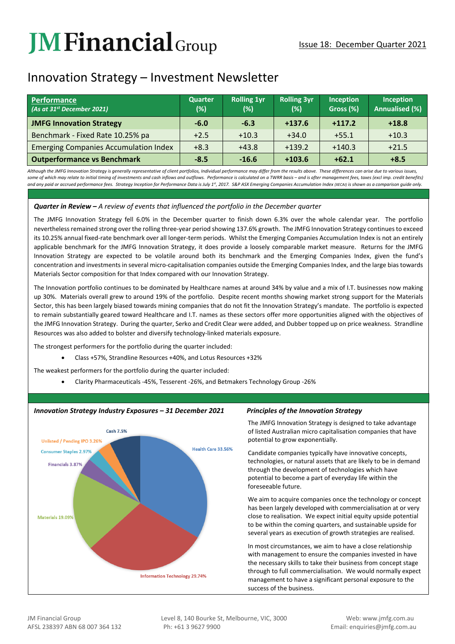# **JM Financial** Group

## Innovation Strategy – Investment Newsletter

| <b>Performance</b><br>(As at 31 <sup>st</sup> December 2021) | <b>Quarter</b><br>(%) | <b>Rolling 1yr</b><br>(%) | <b>Rolling 3yr</b><br>(%) | <b>Inception</b><br>Gross (%) | Inception<br><b>Annualised (%)</b> |
|--------------------------------------------------------------|-----------------------|---------------------------|---------------------------|-------------------------------|------------------------------------|
| <b>JMFG Innovation Strategy</b>                              | $-6.0$                | $-6.3$                    | $+137.6$                  | $+117.2$                      | $+18.8$                            |
| Benchmark - Fixed Rate 10.25% pa                             | $+2.5$                | $+10.3$                   | $+34.0$                   | $+55.1$                       | $+10.3$                            |
| <b>Emerging Companies Accumulation Index</b>                 | $+8.3$                | $+43.8$                   | $+139.2$                  | $+140.3$                      | $+21.5$                            |
| <b>Outperformance vs Benchmark</b>                           | $-8.5$                | $-16.6$                   | $+103.6$                  | $+62.1$                       | $+8.5$                             |

Although the JMFG Innovation Strategy is generally representative of client portfolios, Individual performance may differ from the results above. These differences can arise due to various issues, some of which may relate to initial timing of investments and cash inflows and outflows. Performance is calculated on a TWRR basis - and is after management fees, taxes (excl imp. credit benefits) and any paid or accrued performance fees. Strategy Inception for Performance Data is July 1<sup>#</sup>, 2017. S&P ASX Emerging Companies Accumulation Index (XECAI) is shown as a comparison guide only.

### *Quarter in Review – A review of events that influenced the portfolio in the December quarter*

The JMFG Innovation Strategy fell 6.0% in the December quarter to finish down 6.3% over the whole calendar year. The portfolio nevertheless remained strong over the rolling three-year period showing 137.6% growth. The JMFG Innovation Strategy continues to exceed its 10.25% annual fixed-rate benchmark over all longer-term periods. Whilst the Emerging Companies Accumulation Index is not an entirely applicable benchmark for the JMFG Innovation Strategy, it does provide a loosely comparable market measure. Returns for the JMFG Innovation Strategy are expected to be volatile around both its benchmark and the Emerging Companies Index, given the fund's concentration and investments in several micro-capitalisation companies outside the Emerging Companies Index, and the large bias towards Materials Sector composition for that Index compared with our Innovation Strategy.

The Innovation portfolio continues to be dominated by Healthcare names at around 34% by value and a mix of I.T. businesses now making up 30%. Materials overall grew to around 19% of the portfolio. Despite recent months showing market strong support for the Materials Sector, this has been largely biased towards mining companies that do not fit the Innovation Strategy's mandate. The portfolio is expected to remain substantially geared toward Healthcare and I.T. names as these sectors offer more opportunities aligned with the objectives of the JMFG Innovation Strategy. During the quarter, Serko and Credit Clear were added, and Dubber topped up on price weakness. Strandline Resources was also added to bolster and diversify technology-linked materials exposure.

The strongest performers for the portfolio during the quarter included:

• Class +57%, Strandline Resources +40%, and Lotus Resources +32%

The weakest performers for the portfolio during the quarter included:

• Clarity Pharmaceuticals -45%, Tesserent -26%, and Betmakers Technology Group -26%



#### *Innovation Strategy Industry Exposures – 31 December 2021 Principles of the Innovation Strategy*

The JMFG Innovation Strategy is designed to take advantage of listed Australian micro capitalisation companies that have potential to grow exponentially.

Candidate companies typically have innovative concepts, technologies, or natural assets that are likely to be in demand through the development of technologies which have potential to become a part of everyday life within the foreseeable future.

We aim to acquire companies once the technology or concept has been largely developed with commercialisation at or very close to realisation. We expect initial equity upside potential to be within the coming quarters, and sustainable upside for several years as execution of growth strategies are realised.

In most circumstances, we aim to have a close relationship with management to ensure the companies invested in have the necessary skills to take their business from concept stage through to full commercialisation. We would normally expect management to have a significant personal exposure to the success of the business.

JM Financial Group Level 8, 140 Bourke St, Melbourne, VIC, 3000 Web: www.jmfg.com.au AFSL 238397 ABN 68 007 364 132 Ph: +61 3 9627 9900 Email: enquiries@jmfg.com.au